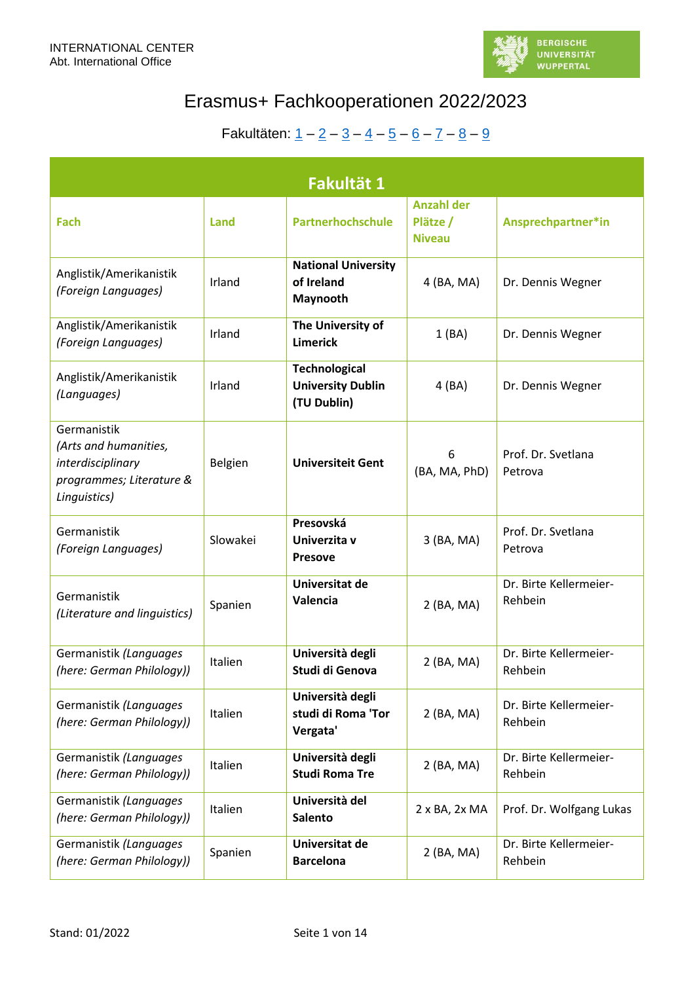

| Fakultät 1                                                                                            |          |                                                                 |                                                |                                   |  |
|-------------------------------------------------------------------------------------------------------|----------|-----------------------------------------------------------------|------------------------------------------------|-----------------------------------|--|
| Fach                                                                                                  | Land     | <b>Partnerhochschule</b>                                        | <b>Anzahl der</b><br>Plätze /<br><b>Niveau</b> | Ansprechpartner*in                |  |
| Anglistik/Amerikanistik<br>(Foreign Languages)                                                        | Irland   | <b>National University</b><br>of Ireland<br>Maynooth            | 4 (BA, MA)                                     | Dr. Dennis Wegner                 |  |
| Anglistik/Amerikanistik<br>(Foreign Languages)                                                        | Irland   | The University of<br><b>Limerick</b>                            | 1(BA)                                          | Dr. Dennis Wegner                 |  |
| Anglistik/Amerikanistik<br>(Languages)                                                                | Irland   | <b>Technological</b><br><b>University Dublin</b><br>(TU Dublin) | 4 (BA)                                         | Dr. Dennis Wegner                 |  |
| Germanistik<br>(Arts and humanities,<br>interdisciplinary<br>programmes; Literature &<br>Linguistics) | Belgien  | <b>Universiteit Gent</b>                                        | 6<br>(BA, MA, PhD)                             | Prof. Dr. Svetlana<br>Petrova     |  |
| Germanistik<br>(Foreign Languages)                                                                    | Slowakei | Presovská<br>Univerzita v<br><b>Presove</b>                     | 3 (BA, MA)                                     | Prof. Dr. Svetlana<br>Petrova     |  |
| Germanistik<br>(Literature and linguistics)                                                           | Spanien  | Universitat de<br>Valencia                                      | 2 (BA, MA)                                     | Dr. Birte Kellermeier-<br>Rehbein |  |
| Germanistik (Languages<br>(here: German Philology))                                                   | Italien  | Università degli<br>Studi di Genova                             | 2 (BA, MA)                                     | Dr. Birte Kellermeier-<br>Rehbein |  |
| Germanistik (Languages<br>(here: German Philology))                                                   | Italien  | Università degli<br>studi di Roma 'Tor<br>Vergata'              | 2 (BA, MA)                                     | Dr. Birte Kellermeier-<br>Rehbein |  |
| Germanistik (Languages<br>(here: German Philology))                                                   | Italien  | Università degli<br><b>Studi Roma Tre</b>                       | 2 (BA, MA)                                     | Dr. Birte Kellermeier-<br>Rehbein |  |
| Germanistik (Languages<br>(here: German Philology))                                                   | Italien  | Università del<br><b>Salento</b>                                | 2 x BA, 2x MA                                  | Prof. Dr. Wolfgang Lukas          |  |
| Germanistik (Languages<br>(here: German Philology))                                                   | Spanien  | Universitat de<br><b>Barcelona</b>                              | 2 (BA, MA)                                     | Dr. Birte Kellermeier-<br>Rehbein |  |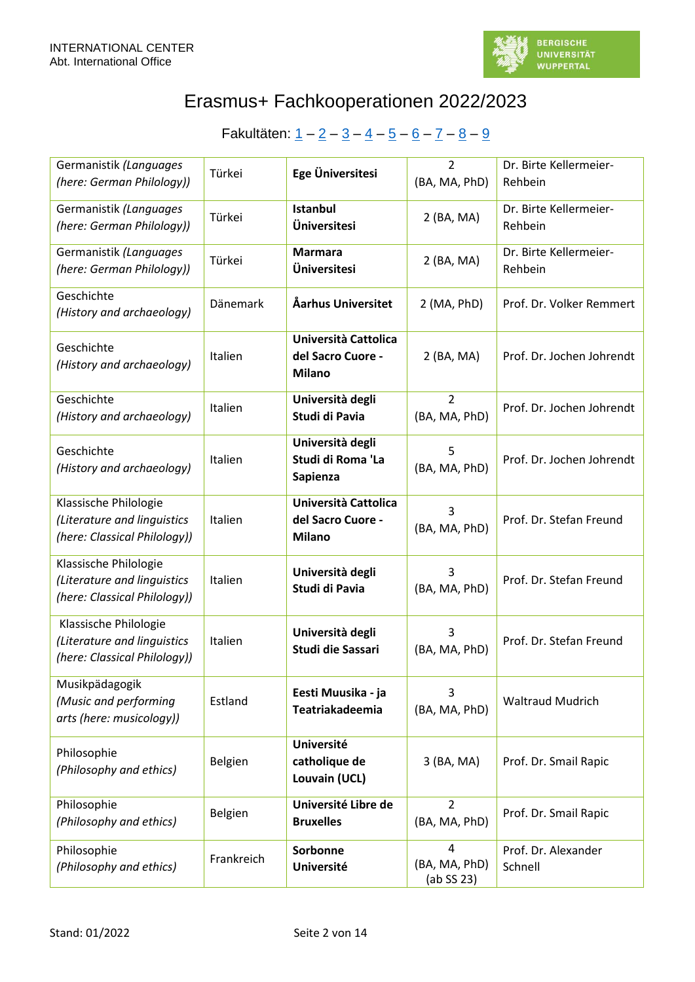

| Germanistik (Languages<br>(here: German Philology))                                  | Türkei     | Ege Üniversitesi                                           | $\overline{2}$<br>(BA, MA, PhD)  | Dr. Birte Kellermeier-<br>Rehbein |
|--------------------------------------------------------------------------------------|------------|------------------------------------------------------------|----------------------------------|-----------------------------------|
| Germanistik (Languages<br>(here: German Philology))                                  | Türkei     | <b>Istanbul</b><br>Üniversitesi                            | 2 (BA, MA)                       | Dr. Birte Kellermeier-<br>Rehbein |
| Germanistik (Languages<br>(here: German Philology))                                  | Türkei     | <b>Marmara</b><br>Üniversitesi                             | 2 (BA, MA)                       | Dr. Birte Kellermeier-<br>Rehbein |
| Geschichte<br>(History and archaeology)                                              | Dänemark   | Åarhus Universitet                                         | 2 (MA, PhD)                      | Prof. Dr. Volker Remmert          |
| Geschichte<br>(History and archaeology)                                              | Italien    | Università Cattolica<br>del Sacro Cuore -<br><b>Milano</b> | 2 (BA, MA)                       | Prof. Dr. Jochen Johrendt         |
| Geschichte<br>(History and archaeology)                                              | Italien    | Università degli<br>Studi di Pavia                         | $\overline{2}$<br>(BA, MA, PhD)  | Prof. Dr. Jochen Johrendt         |
| Geschichte<br>(History and archaeology)                                              | Italien    | Università degli<br>Studi di Roma 'La<br>Sapienza          | 5<br>(BA, MA, PhD)               | Prof. Dr. Jochen Johrendt         |
| Klassische Philologie<br>(Literature and linguistics<br>(here: Classical Philology)) | Italien    | Università Cattolica<br>del Sacro Cuore -<br><b>Milano</b> | 3<br>(BA, MA, PhD)               | Prof. Dr. Stefan Freund           |
| Klassische Philologie<br>(Literature and linguistics<br>(here: Classical Philology)) | Italien    | Università degli<br>Studi di Pavia                         | 3<br>(BA, MA, PhD)               | Prof. Dr. Stefan Freund           |
| Klassische Philologie<br>(Literature and linguistics<br>(here: Classical Philology)) | Italien    | Università degli<br>Studi die Sassari                      | 3<br>(BA, MA, PhD)               | Prof. Dr. Stefan Freund           |
| Musikpädagogik<br>(Music and performing<br>arts (here: musicology))                  | Estland    | Eesti Muusika - ja<br>Teatriakadeemia                      | 3<br>(BA, MA, PhD)               | <b>Waltraud Mudrich</b>           |
| Philosophie<br>(Philosophy and ethics)                                               | Belgien    | <b>Université</b><br>catholique de<br>Louvain (UCL)        | 3 (BA, MA)                       | Prof. Dr. Smail Rapic             |
| Philosophie<br>(Philosophy and ethics)                                               | Belgien    | Université Libre de<br><b>Bruxelles</b>                    | $\overline{2}$<br>(BA, MA, PhD)  | Prof. Dr. Smail Rapic             |
| Philosophie<br>(Philosophy and ethics)                                               | Frankreich | Sorbonne<br><b>Université</b>                              | 4<br>(BA, MA, PhD)<br>(ab SS 23) | Prof. Dr. Alexander<br>Schnell    |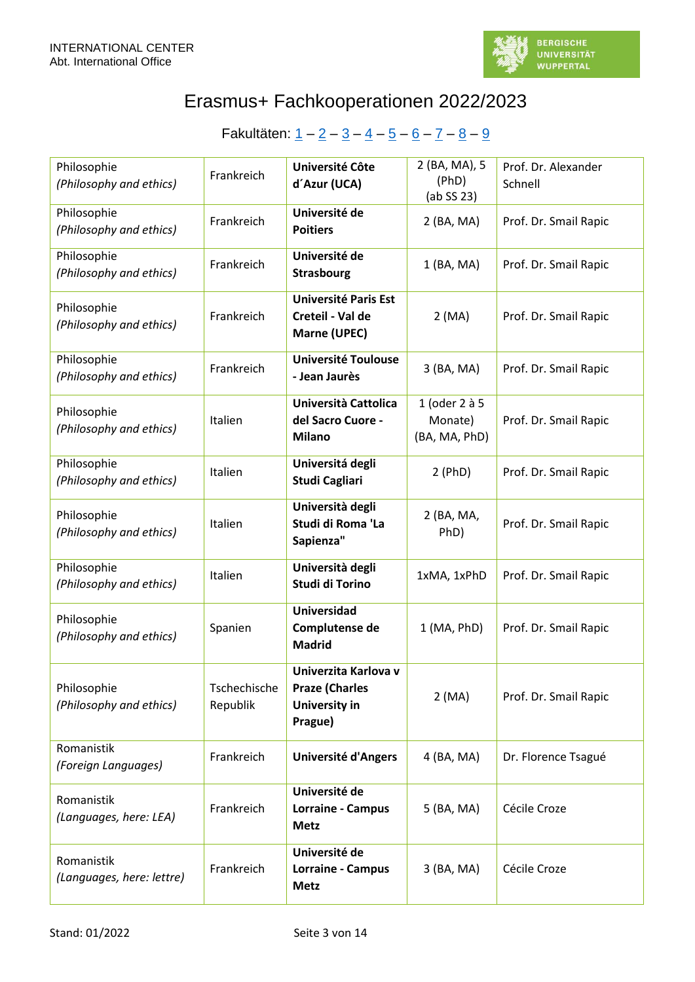

| Philosophie<br>(Philosophy and ethics)  | Frankreich               | Université Côte<br>d'Azur (UCA)                                                  | 2 (BA, MA), 5<br>(PhD)<br>(ab SS 23)      | Prof. Dr. Alexander<br>Schnell |
|-----------------------------------------|--------------------------|----------------------------------------------------------------------------------|-------------------------------------------|--------------------------------|
| Philosophie<br>(Philosophy and ethics)  | Frankreich               | Université de<br><b>Poitiers</b>                                                 | 2 (BA, MA)                                | Prof. Dr. Smail Rapic          |
| Philosophie<br>(Philosophy and ethics)  | Frankreich               | Université de<br><b>Strasbourg</b>                                               | 1 (BA, MA)                                | Prof. Dr. Smail Rapic          |
| Philosophie<br>(Philosophy and ethics)  | Frankreich               | <b>Université Paris Est</b><br>Creteil - Val de<br>Marne (UPEC)                  | 2(MA)                                     | Prof. Dr. Smail Rapic          |
| Philosophie<br>(Philosophy and ethics)  | Frankreich               | <b>Université Toulouse</b><br>- Jean Jaurès                                      | 3 (BA, MA)                                | Prof. Dr. Smail Rapic          |
| Philosophie<br>(Philosophy and ethics)  | Italien                  | Università Cattolica<br>del Sacro Cuore -<br><b>Milano</b>                       | 1 (oder 2 à 5<br>Monate)<br>(BA, MA, PhD) | Prof. Dr. Smail Rapic          |
| Philosophie<br>(Philosophy and ethics)  | Italien                  | Universitá degli<br><b>Studi Cagliari</b>                                        | 2(PhD)                                    | Prof. Dr. Smail Rapic          |
| Philosophie<br>(Philosophy and ethics)  | Italien                  | Università degli<br>Studi di Roma 'La<br>Sapienza"                               | 2 (BA, MA,<br>PhD)                        | Prof. Dr. Smail Rapic          |
| Philosophie<br>(Philosophy and ethics)  | Italien                  | Università degli<br>Studi di Torino                                              | 1xMA, 1xPhD                               | Prof. Dr. Smail Rapic          |
| Philosophie<br>(Philosophy and ethics)  | Spanien                  | <b>Universidad</b><br>Complutense de<br><b>Madrid</b>                            | $1$ (MA, PhD)                             | Prof. Dr. Smail Rapic          |
| Philosophie<br>(Philosophy and ethics)  | Tschechische<br>Republik | Univerzita Karlova v<br><b>Praze (Charles</b><br><b>University in</b><br>Prague) | 2(MA)                                     | Prof. Dr. Smail Rapic          |
| Romanistik<br>(Foreign Languages)       | Frankreich               | <b>Université d'Angers</b>                                                       | 4 (BA, MA)                                | Dr. Florence Tsagué            |
| Romanistik<br>(Languages, here: LEA)    | Frankreich               | Université de<br>Lorraine - Campus<br><b>Metz</b>                                | 5 (BA, MA)                                | Cécile Croze                   |
| Romanistik<br>(Languages, here: lettre) | Frankreich               | Université de<br>Lorraine - Campus<br><b>Metz</b>                                | 3 (BA, MA)                                | Cécile Croze                   |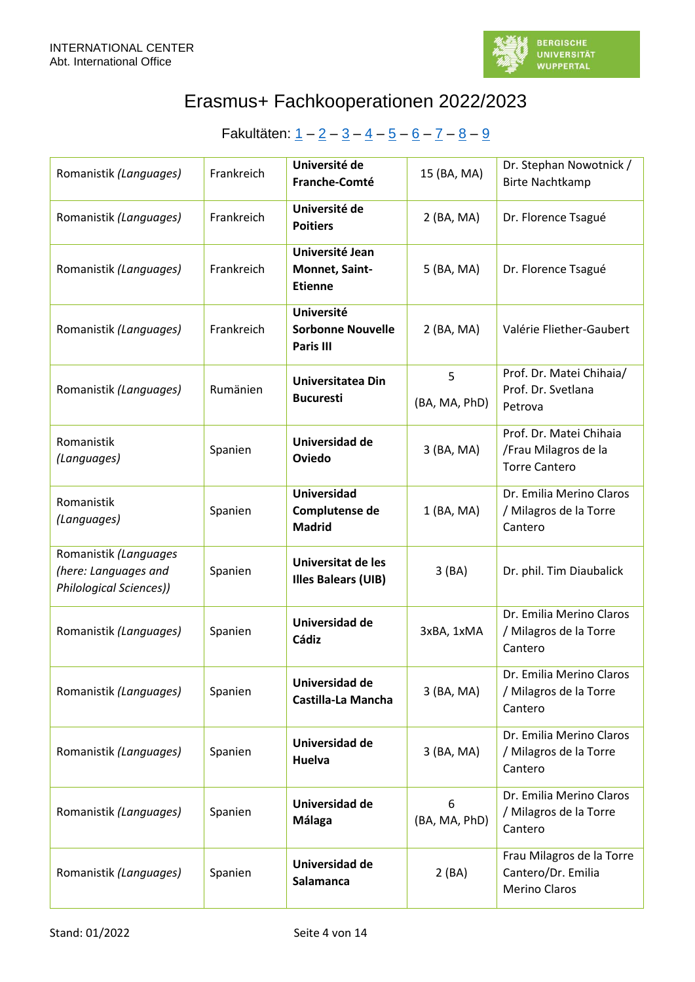

| Romanistik (Languages)                                                          | Frankreich | Université de<br>Franche-Comté                             | 15 (BA, MA)        | Dr. Stephan Nowotnick /<br><b>Birte Nachtkamp</b>                       |
|---------------------------------------------------------------------------------|------------|------------------------------------------------------------|--------------------|-------------------------------------------------------------------------|
| Romanistik (Languages)                                                          | Frankreich | Université de<br><b>Poitiers</b>                           | 2 (BA, MA)         | Dr. Florence Tsagué                                                     |
| Romanistik (Languages)                                                          | Frankreich | Université Jean<br>Monnet, Saint-<br><b>Etienne</b>        | 5 (BA, MA)         | Dr. Florence Tsagué                                                     |
| Romanistik (Languages)                                                          | Frankreich | <b>Université</b><br><b>Sorbonne Nouvelle</b><br>Paris III | 2 (BA, MA)         | Valérie Fliether-Gaubert                                                |
| Romanistik (Languages)                                                          | Rumänien   | <b>Universitatea Din</b><br><b>Bucuresti</b>               | 5<br>(BA, MA, PhD) | Prof. Dr. Matei Chihaia/<br>Prof. Dr. Svetlana<br>Petrova               |
| Romanistik<br>(Languages)                                                       | Spanien    | Universidad de<br>Oviedo                                   | 3 (BA, MA)         | Prof. Dr. Matei Chihaia<br>/Frau Milagros de la<br><b>Torre Cantero</b> |
| Romanistik<br>(Languages)                                                       | Spanien    | <b>Universidad</b><br>Complutense de<br><b>Madrid</b>      | 1 (BA, MA)         | Dr. Emilia Merino Claros<br>/ Milagros de la Torre<br>Cantero           |
| Romanistik (Languages<br>(here: Languages and<br><b>Philological Sciences))</b> | Spanien    | Universitat de les<br>Illes Balears (UIB)                  | 3(BA)              | Dr. phil. Tim Diaubalick                                                |
| Romanistik (Languages)                                                          | Spanien    | Universidad de<br><b>Cádiz</b>                             | 3xBA, 1xMA         | Dr. Emilia Merino Claros<br>/ Milagros de la Torre<br>Cantero           |
| Romanistik (Languages)                                                          | Spanien    | Universidad de<br>Castilla-La Mancha                       | 3 (BA, MA)         | Dr. Emilia Merino Claros<br>/ Milagros de la Torre<br>Cantero           |
| Romanistik (Languages)                                                          | Spanien    | Universidad de<br><b>Huelva</b>                            | 3 (BA, MA)         | Dr. Emilia Merino Claros<br>/ Milagros de la Torre<br>Cantero           |
| Romanistik (Languages)                                                          | Spanien    | Universidad de<br>Málaga                                   | 6<br>(BA, MA, PhD) | Dr. Emilia Merino Claros<br>/ Milagros de la Torre<br>Cantero           |
| Romanistik (Languages)                                                          | Spanien    | Universidad de<br>Salamanca                                | 2(BA)              | Frau Milagros de la Torre<br>Cantero/Dr. Emilia<br><b>Merino Claros</b> |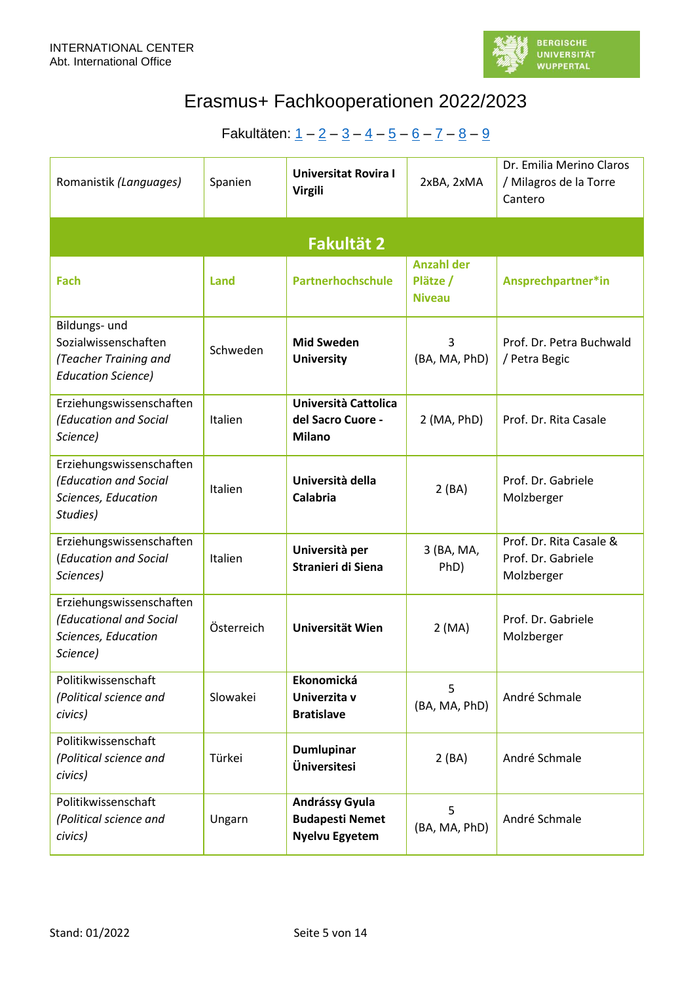

<span id="page-4-0"></span>

| Romanistik (Languages)                                                                      | Spanien    | <b>Universitat Rovira I</b><br><b>Virgili</b>              | 2xBA, 2xMA                                     | Dr. Emilia Merino Claros<br>/ Milagros de la Torre<br>Cantero |  |  |
|---------------------------------------------------------------------------------------------|------------|------------------------------------------------------------|------------------------------------------------|---------------------------------------------------------------|--|--|
| <b>Fakultät 2</b>                                                                           |            |                                                            |                                                |                                                               |  |  |
| Fach                                                                                        | Land       | Partnerhochschule                                          | <b>Anzahl der</b><br>Plätze /<br><b>Niveau</b> | Ansprechpartner*in                                            |  |  |
| Bildungs- und<br>Sozialwissenschaften<br>(Teacher Training and<br><b>Education Science)</b> | Schweden   | <b>Mid Sweden</b><br><b>University</b>                     | 3<br>(BA, MA, PhD)                             | Prof. Dr. Petra Buchwald<br>/ Petra Begic                     |  |  |
| Erziehungswissenschaften<br>(Education and Social<br>Science)                               | Italien    | Università Cattolica<br>del Sacro Cuore -<br><b>Milano</b> | $2$ (MA, PhD)                                  | Prof. Dr. Rita Casale                                         |  |  |
| Erziehungswissenschaften<br>(Education and Social<br>Sciences, Education<br>Studies)        | Italien    | Università della<br><b>Calabria</b>                        | 2(BA)                                          | Prof. Dr. Gabriele<br>Molzberger                              |  |  |
| Erziehungswissenschaften<br>(Education and Social<br>Sciences)                              | Italien    | Università per<br>Stranieri di Siena                       | 3 (BA, MA,<br>PhD)                             | Prof. Dr. Rita Casale &<br>Prof. Dr. Gabriele<br>Molzberger   |  |  |
| Erziehungswissenschaften<br>(Educational and Social<br>Sciences, Education<br>Science)      | Österreich | Universität Wien                                           | 2(MA)                                          | Prof. Dr. Gabriele<br>Molzberger                              |  |  |
| Politikwissenschaft<br>(Political science and<br>civics)                                    | Slowakei   | Ekonomická<br>Univerzita v<br><b>Bratislave</b>            | 5<br>(BA, MA, PhD)                             | André Schmale                                                 |  |  |
| Politikwissenschaft<br>(Political science and<br>civics)                                    | Türkei     | <b>Dumlupinar</b><br>Üniversitesi                          | 2(BA)                                          | André Schmale                                                 |  |  |
| Politikwissenschaft<br>(Political science and<br>civics)                                    | Ungarn     | Andrássy Gyula<br><b>Budapesti Nemet</b><br>Nyelvu Egyetem | 5<br>(BA, MA, PhD)                             | André Schmale                                                 |  |  |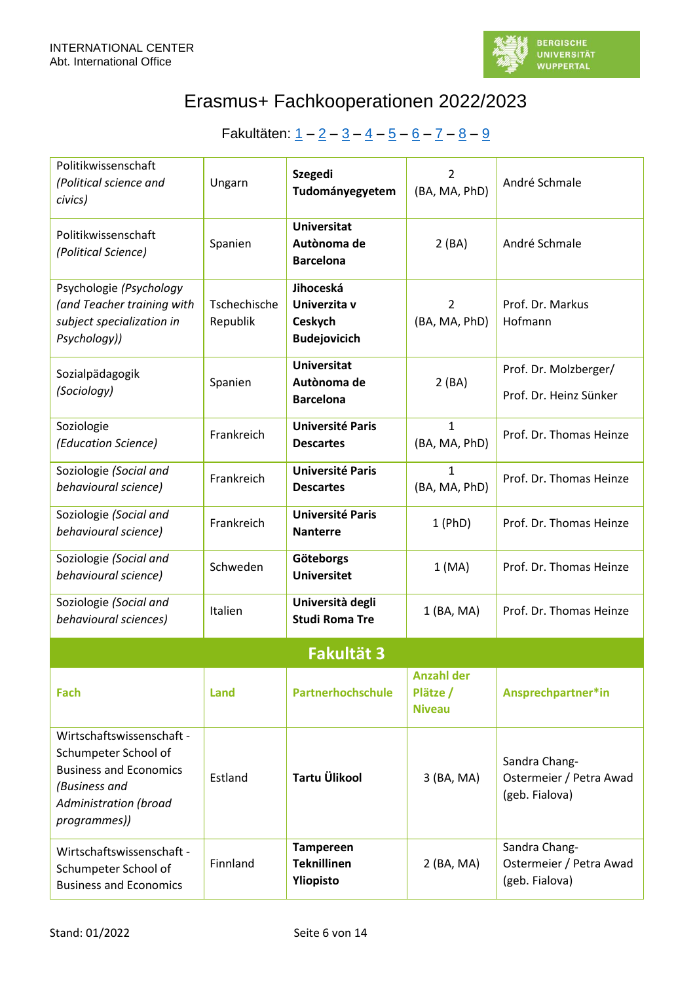

<span id="page-5-0"></span>

| Politikwissenschaft<br>(Political science and<br>civics)                                                                                            | Ungarn                   | <b>Szegedi</b><br>Tudományegyetem                           | $\overline{2}$<br>(BA, MA, PhD)                | André Schmale                                              |
|-----------------------------------------------------------------------------------------------------------------------------------------------------|--------------------------|-------------------------------------------------------------|------------------------------------------------|------------------------------------------------------------|
| Politikwissenschaft<br>(Political Science)                                                                                                          | Spanien                  | <b>Universitat</b><br>Autònoma de<br><b>Barcelona</b>       | 2(BA)                                          | André Schmale                                              |
| Psychologie (Psychology<br>(and Teacher training with<br>subject specialization in<br>Psychology))                                                  | Tschechische<br>Republik | Jihoceská<br>Univerzita v<br>Ceskych<br><b>Budejovicich</b> | $\overline{2}$<br>(BA, MA, PhD)                | Prof. Dr. Markus<br>Hofmann                                |
| Sozialpädagogik<br>(Sociology)                                                                                                                      | Spanien                  | <b>Universitat</b><br>Autònoma de<br><b>Barcelona</b>       | 2(BA)                                          | Prof. Dr. Molzberger/<br>Prof. Dr. Heinz Sünker            |
| Soziologie<br>(Education Science)                                                                                                                   | Frankreich               | <b>Université Paris</b><br><b>Descartes</b>                 | $\mathbf{1}$<br>(BA, MA, PhD)                  | Prof. Dr. Thomas Heinze                                    |
| Soziologie (Social and<br>behavioural science)                                                                                                      | Frankreich               | <b>Université Paris</b><br><b>Descartes</b>                 | $\mathbf{1}$<br>(BA, MA, PhD)                  | Prof. Dr. Thomas Heinze                                    |
| Soziologie (Social and<br>behavioural science)                                                                                                      | Frankreich               | <b>Université Paris</b><br><b>Nanterre</b>                  | $1$ (PhD)                                      | Prof. Dr. Thomas Heinze                                    |
| Soziologie (Social and<br>behavioural science)                                                                                                      | Schweden                 | Göteborgs<br><b>Universitet</b>                             | 1(MA)                                          | Prof. Dr. Thomas Heinze                                    |
| Soziologie (Social and<br>behavioural sciences)                                                                                                     | Italien                  | Università degli<br><b>Studi Roma Tre</b>                   | 1 (BA, MA)                                     | Prof. Dr. Thomas Heinze                                    |
|                                                                                                                                                     |                          | <b>Fakultät 3</b>                                           |                                                |                                                            |
| Fach                                                                                                                                                | <b>Land</b>              | <b>Partnerhochschule</b>                                    | <b>Anzahl der</b><br>Plätze /<br><b>Niveau</b> | Ansprechpartner*in                                         |
| Wirtschaftswissenschaft -<br>Schumpeter School of<br><b>Business and Economics</b><br>(Business and<br><b>Administration (broad</b><br>programmes)) | Estland                  | Tartu Ülikool                                               | 3 (BA, MA)                                     | Sandra Chang-<br>Ostermeier / Petra Awad<br>(geb. Fialova) |
| Wirtschaftswissenschaft -<br>Schumpeter School of<br><b>Business and Economics</b>                                                                  | Finnland                 | <b>Tampereen</b><br><b>Teknillinen</b><br>Yliopisto         | 2 (BA, MA)                                     | Sandra Chang-<br>Ostermeier / Petra Awad<br>(geb. Fialova) |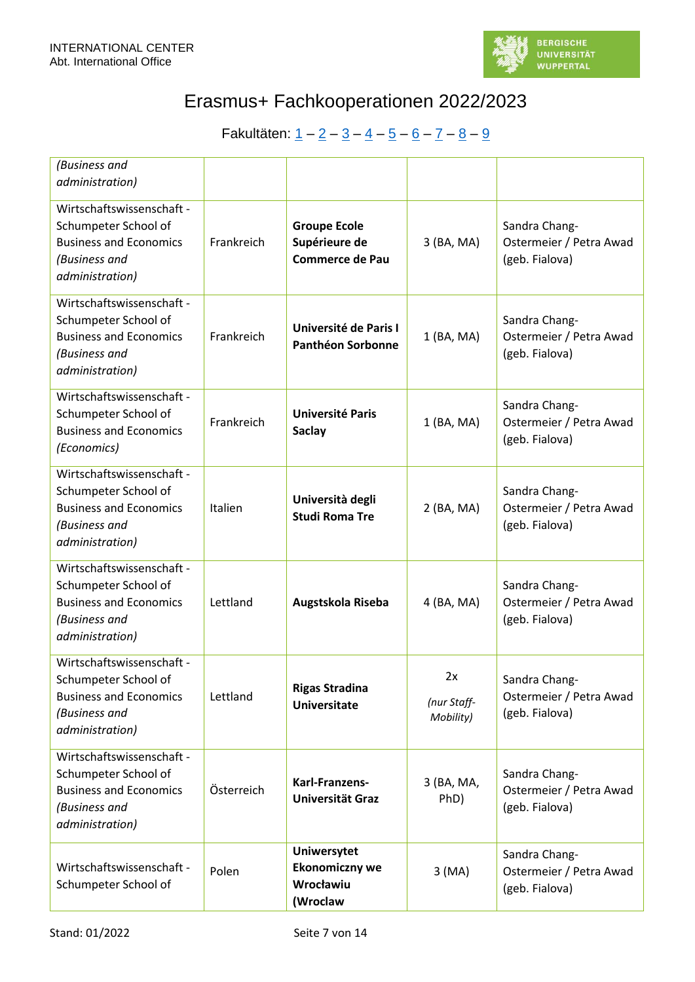

| (Business and<br>administration)                                                                                       |            |                                                                      |                                |                                                            |
|------------------------------------------------------------------------------------------------------------------------|------------|----------------------------------------------------------------------|--------------------------------|------------------------------------------------------------|
| Wirtschaftswissenschaft -<br>Schumpeter School of<br><b>Business and Economics</b><br>(Business and<br>administration) | Frankreich | <b>Groupe Ecole</b><br>Supérieure de<br><b>Commerce de Pau</b>       | 3 (BA, MA)                     | Sandra Chang-<br>Ostermeier / Petra Awad<br>(geb. Fialova) |
| Wirtschaftswissenschaft -<br>Schumpeter School of<br><b>Business and Economics</b><br>(Business and<br>administration) | Frankreich | Université de Paris I<br><b>Panthéon Sorbonne</b>                    | 1 (BA, MA)                     | Sandra Chang-<br>Ostermeier / Petra Awad<br>(geb. Fialova) |
| Wirtschaftswissenschaft -<br>Schumpeter School of<br><b>Business and Economics</b><br>(Economics)                      | Frankreich | <b>Université Paris</b><br><b>Saclay</b>                             | $1$ (BA, MA)                   | Sandra Chang-<br>Ostermeier / Petra Awad<br>(geb. Fialova) |
| Wirtschaftswissenschaft -<br>Schumpeter School of<br><b>Business and Economics</b><br>(Business and<br>administration) | Italien    | Università degli<br><b>Studi Roma Tre</b>                            | 2 (BA, MA)                     | Sandra Chang-<br>Ostermeier / Petra Awad<br>(geb. Fialova) |
| Wirtschaftswissenschaft -<br>Schumpeter School of<br><b>Business and Economics</b><br>(Business and<br>administration) | Lettland   | Augstskola Riseba                                                    | 4 (BA, MA)                     | Sandra Chang-<br>Ostermeier / Petra Awad<br>(geb. Fialova) |
| Wirtschaftswissenschaft -<br>Schumpeter School of<br><b>Business and Economics</b><br>(Business and<br>administration) | Lettland   | <b>Rigas Stradina</b><br><b>Universitate</b>                         | 2x<br>(nur Staff-<br>Mobility) | Sandra Chang-<br>Ostermeier / Petra Awad<br>(geb. Fialova) |
| Wirtschaftswissenschaft -<br>Schumpeter School of<br><b>Business and Economics</b><br>(Business and<br>administration) | Österreich | Karl-Franzens-<br>Universität Graz                                   | 3 (BA, MA,<br>PhD)             | Sandra Chang-<br>Ostermeier / Petra Awad<br>(geb. Fialova) |
| Wirtschaftswissenschaft -<br>Schumpeter School of                                                                      | Polen      | <b>Uniwersytet</b><br><b>Ekonomiczny we</b><br>Wrocławiu<br>(Wroclaw | 3(MA)                          | Sandra Chang-<br>Ostermeier / Petra Awad<br>(geb. Fialova) |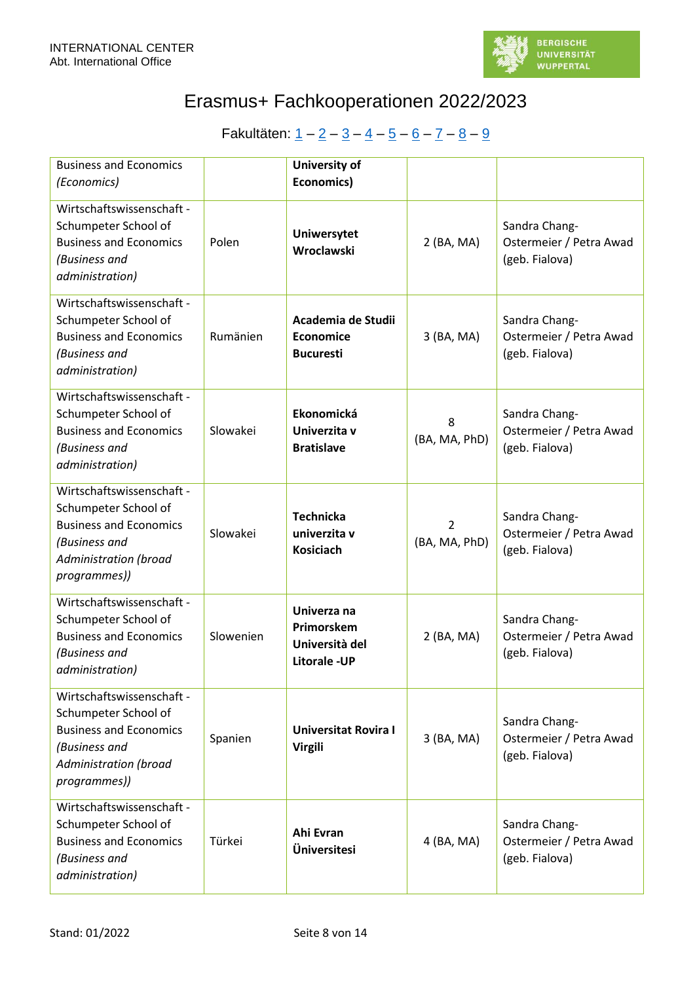

| <b>Business and Economics</b><br>(Economics)                                                                                                        |           | <b>University of</b><br><b>Economics)</b>                          |                                 |                                                            |
|-----------------------------------------------------------------------------------------------------------------------------------------------------|-----------|--------------------------------------------------------------------|---------------------------------|------------------------------------------------------------|
| Wirtschaftswissenschaft -<br>Schumpeter School of<br><b>Business and Economics</b><br>(Business and<br>administration)                              | Polen     | Uniwersytet<br>Wroclawski                                          | 2 (BA, MA)                      | Sandra Chang-<br>Ostermeier / Petra Awad<br>(geb. Fialova) |
| Wirtschaftswissenschaft -<br>Schumpeter School of<br><b>Business and Economics</b><br>(Business and<br>administration)                              | Rumänien  | Academia de Studii<br><b>Economice</b><br><b>Bucuresti</b>         | 3 (BA, MA)                      | Sandra Chang-<br>Ostermeier / Petra Awad<br>(geb. Fialova) |
| Wirtschaftswissenschaft -<br>Schumpeter School of<br><b>Business and Economics</b><br>(Business and<br>administration)                              | Slowakei  | Ekonomická<br>Univerzita v<br><b>Bratislave</b>                    | 8<br>(BA, MA, PhD)              | Sandra Chang-<br>Ostermeier / Petra Awad<br>(geb. Fialova) |
| Wirtschaftswissenschaft -<br>Schumpeter School of<br><b>Business and Economics</b><br>(Business and<br><b>Administration (broad</b><br>programmes)) | Slowakei  | <b>Technicka</b><br>univerzita v<br><b>Kosiciach</b>               | $\overline{2}$<br>(BA, MA, PhD) | Sandra Chang-<br>Ostermeier / Petra Awad<br>(geb. Fialova) |
| Wirtschaftswissenschaft -<br>Schumpeter School of<br><b>Business and Economics</b><br>(Business and<br>administration)                              | Slowenien | Univerza na<br>Primorskem<br>Università del<br><b>Litorale -UP</b> | 2 (BA, MA)                      | Sandra Chang-<br>Ostermeier / Petra Awad<br>(geb. Fialova) |
| Wirtschaftswissenschaft -<br>Schumpeter School of<br><b>Business and Economics</b><br>(Business and<br><b>Administration (broad</b><br>programmes)) | Spanien   | <b>Universitat Rovira I</b><br><b>Virgili</b>                      | 3 (BA, MA)                      | Sandra Chang-<br>Ostermeier / Petra Awad<br>(geb. Fialova) |
| Wirtschaftswissenschaft -<br>Schumpeter School of<br><b>Business and Economics</b><br>(Business and<br>administration)                              | Türkei    | Ahi Evran<br>Üniversitesi                                          | 4 (BA, MA)                      | Sandra Chang-<br>Ostermeier / Petra Awad<br>(geb. Fialova) |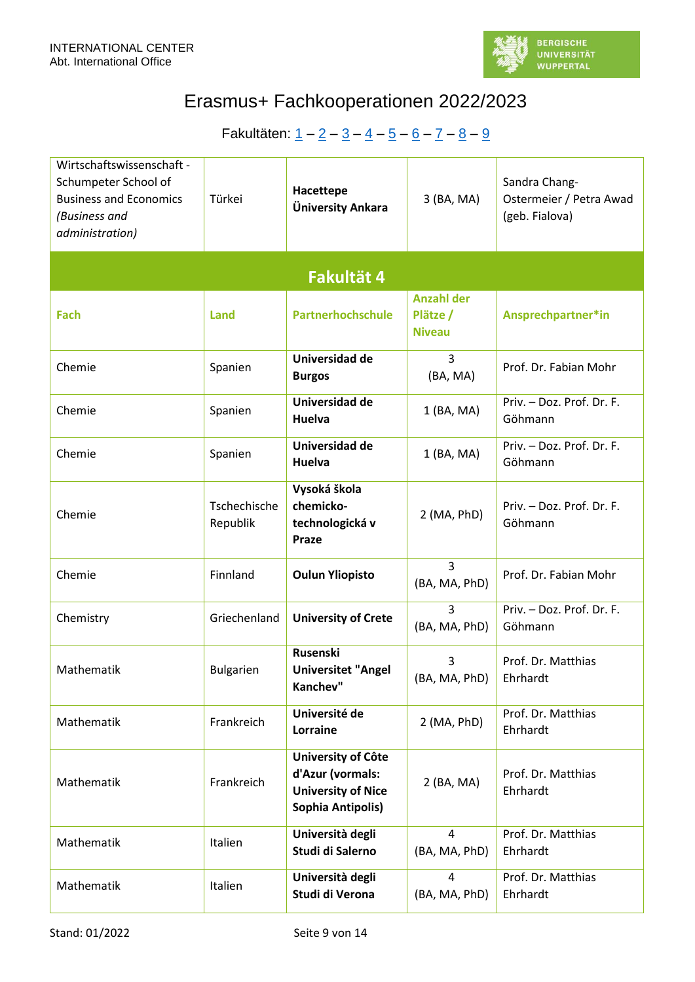

<span id="page-8-0"></span>

| Wirtschaftswissenschaft -<br>Schumpeter School of<br><b>Business and Economics</b><br>(Business and<br>administration) | Türkei                   | Hacettepe<br>Üniversity Ankara                                                                  | 3 (BA, MA)                                     | Sandra Chang-<br>Ostermeier / Petra Awad<br>(geb. Fialova) |
|------------------------------------------------------------------------------------------------------------------------|--------------------------|-------------------------------------------------------------------------------------------------|------------------------------------------------|------------------------------------------------------------|
|                                                                                                                        |                          | Fakultät 4                                                                                      |                                                |                                                            |
| Fach                                                                                                                   | <b>Land</b>              | <b>Partnerhochschule</b>                                                                        | <b>Anzahl der</b><br>Plätze /<br><b>Niveau</b> | Ansprechpartner*in                                         |
| Chemie                                                                                                                 | Spanien                  | Universidad de<br><b>Burgos</b>                                                                 | 3<br>(BA, MA)                                  | Prof. Dr. Fabian Mohr                                      |
| Chemie                                                                                                                 | Spanien                  | Universidad de<br><b>Huelva</b>                                                                 | 1 (BA, MA)                                     | Priv. - Doz. Prof. Dr. F.<br>Göhmann                       |
| Chemie                                                                                                                 | Spanien                  | Universidad de<br>Huelva                                                                        | 1 (BA, MA)                                     | Priv. - Doz. Prof. Dr. F.<br>Göhmann                       |
| Chemie                                                                                                                 | Tschechische<br>Republik | Vysoká škola<br>chemicko-<br>technologická v<br>Praze                                           | 2 (MA, PhD)                                    | Priv. - Doz. Prof. Dr. F.<br>Göhmann                       |
| Chemie                                                                                                                 | Finnland                 | <b>Oulun Yliopisto</b>                                                                          | 3<br>(BA, MA, PhD)                             | Prof. Dr. Fabian Mohr                                      |
| Chemistry                                                                                                              | Griechenland             | <b>University of Crete</b>                                                                      | 3<br>(BA, MA, PhD)                             | Priv. - Doz. Prof. Dr. F.<br>Göhmann                       |
| Mathematik                                                                                                             | <b>Bulgarien</b>         | Rusenski<br><b>Universitet "Angel</b><br>Kanchev"                                               | 3<br>(BA, MA, PhD)                             | Prof. Dr. Matthias<br>Ehrhardt                             |
| Mathematik                                                                                                             | Frankreich               | Université de<br>Lorraine                                                                       | $2$ (MA, PhD)                                  | Prof. Dr. Matthias<br>Ehrhardt                             |
| Mathematik                                                                                                             | Frankreich               | University of Côte<br>d'Azur (vormals:<br><b>University of Nice</b><br><b>Sophia Antipolis)</b> | 2 (BA, MA)                                     | Prof. Dr. Matthias<br>Ehrhardt                             |
| Mathematik                                                                                                             | Italien                  | Università degli<br>Studi di Salerno                                                            | 4<br>(BA, MA, PhD)                             | Prof. Dr. Matthias<br>Ehrhardt                             |
| Mathematik                                                                                                             | Italien                  | Università degli<br>Studi di Verona                                                             | 4<br>(BA, MA, PhD)                             | Prof. Dr. Matthias<br>Ehrhardt                             |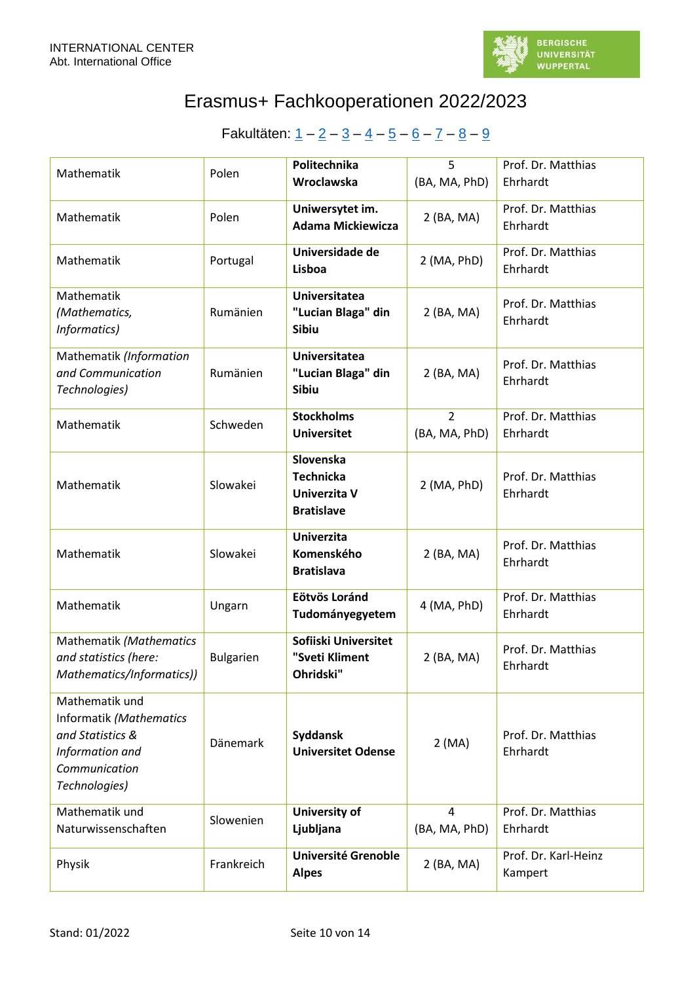

| Mathematik                                                                                                         | Polen            | Politechnika                                                       | 5                               | Prof. Dr. Matthias              |
|--------------------------------------------------------------------------------------------------------------------|------------------|--------------------------------------------------------------------|---------------------------------|---------------------------------|
|                                                                                                                    |                  | Wroclawska                                                         | (BA, MA, PhD)                   | Ehrhardt                        |
| Mathematik                                                                                                         | Polen            | Uniwersytet im.<br><b>Adama Mickiewicza</b>                        | 2 (BA, MA)                      | Prof. Dr. Matthias<br>Ehrhardt  |
| Mathematik                                                                                                         | Portugal         | Universidade de<br>Lisboa                                          | $2$ (MA, PhD)                   | Prof. Dr. Matthias<br>Ehrhardt  |
| Mathematik<br>(Mathematics,<br>Informatics)                                                                        | Rumänien         | <b>Universitatea</b><br>"Lucian Blaga" din<br>Sibiu                | 2 (BA, MA)                      | Prof. Dr. Matthias<br>Ehrhardt  |
| Mathematik (Information<br>and Communication<br>Technologies)                                                      | Rumänien         | <b>Universitatea</b><br>"Lucian Blaga" din<br>Sibiu                | 2 (BA, MA)                      | Prof. Dr. Matthias<br>Ehrhardt  |
| Mathematik                                                                                                         | Schweden         | <b>Stockholms</b><br><b>Universitet</b>                            | $\overline{2}$<br>(BA, MA, PhD) | Prof. Dr. Matthias<br>Ehrhardt  |
| Mathematik                                                                                                         | Slowakei         | Slovenska<br><b>Technicka</b><br>Univerzita V<br><b>Bratislave</b> | $2$ (MA, PhD)                   | Prof. Dr. Matthias<br>Ehrhardt  |
| Mathematik                                                                                                         | Slowakei         | <b>Univerzita</b><br>Komenského<br><b>Bratislava</b>               | 2 (BA, MA)                      | Prof. Dr. Matthias<br>Ehrhardt  |
| Mathematik                                                                                                         | Ungarn           | Eötvös Loránd<br>Tudományegyetem                                   | 4 (MA, PhD)                     | Prof. Dr. Matthias<br>Ehrhardt  |
| Mathematik (Mathematics<br>and statistics (here:<br>Mathematics/Informatics))                                      | <b>Bulgarien</b> | Sofiiski Universitet<br>"Sveti Kliment<br>Ohridski"                | 2 (BA, MA)                      | Prof. Dr. Matthias<br>Ehrhardt  |
| Mathematik und<br>Informatik (Mathematics<br>and Statistics &<br>Information and<br>Communication<br>Technologies) | <b>Dänemark</b>  | Syddansk<br><b>Universitet Odense</b>                              | 2(MA)                           | Prof. Dr. Matthias<br>Ehrhardt  |
| Mathematik und<br>Naturwissenschaften                                                                              | Slowenien        | <b>University of</b><br>Ljubljana                                  | $\overline{4}$<br>(BA, MA, PhD) | Prof. Dr. Matthias<br>Ehrhardt  |
| Physik                                                                                                             | Frankreich       | <b>Université Grenoble</b><br><b>Alpes</b>                         | 2 (BA, MA)                      | Prof. Dr. Karl-Heinz<br>Kampert |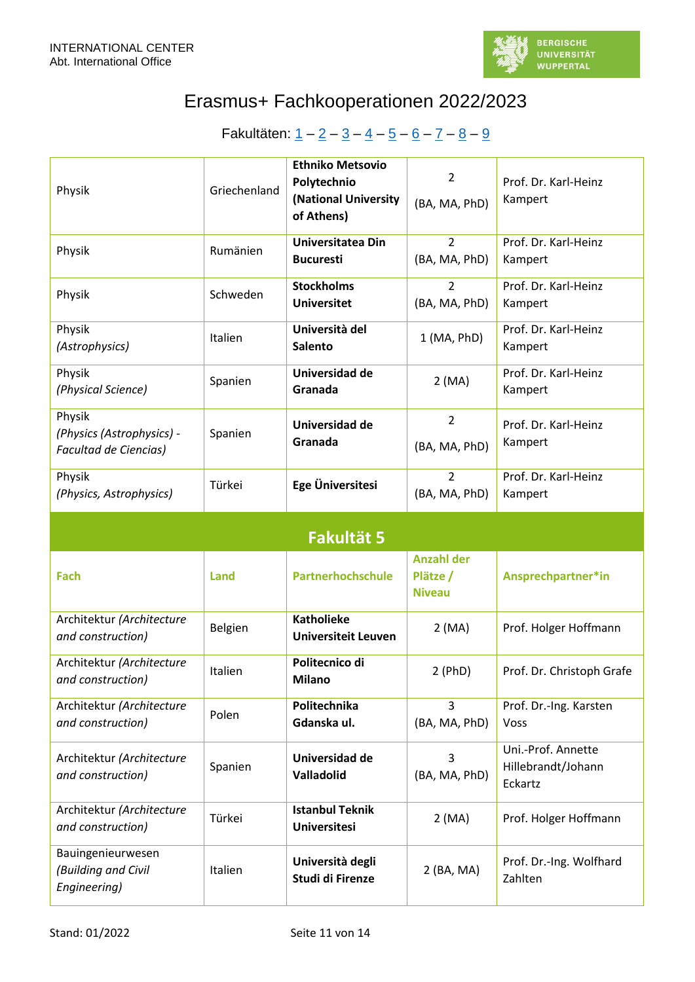

<span id="page-10-0"></span>

| Physik                                                              | Griechenland | <b>Ethniko Metsovio</b><br>Polytechnio<br>(National University<br>of Athens) | $\overline{2}$<br>(BA, MA, PhD)                | Prof. Dr. Karl-Heinz<br>Kampert                     |  |  |
|---------------------------------------------------------------------|--------------|------------------------------------------------------------------------------|------------------------------------------------|-----------------------------------------------------|--|--|
| Physik                                                              | Rumänien     | Universitatea Din<br><b>Bucuresti</b>                                        | $\overline{2}$<br>(BA, MA, PhD)                | Prof. Dr. Karl-Heinz<br>Kampert                     |  |  |
| Physik                                                              | Schweden     | <b>Stockholms</b><br><b>Universitet</b>                                      | $\overline{2}$<br>(BA, MA, PhD)                | Prof. Dr. Karl-Heinz<br>Kampert                     |  |  |
| Physik<br>(Astrophysics)                                            | Italien      | Università del<br><b>Salento</b>                                             | $1$ (MA, PhD)                                  | Prof. Dr. Karl-Heinz<br>Kampert                     |  |  |
| Physik<br>(Physical Science)                                        | Spanien      | Universidad de<br>Granada                                                    | 2(MA)                                          | Prof. Dr. Karl-Heinz<br>Kampert                     |  |  |
| Physik<br>(Physics (Astrophysics) -<br><b>Facultad de Ciencias)</b> | Spanien      | Universidad de<br>Granada                                                    | $\overline{2}$<br>(BA, MA, PhD)                | Prof. Dr. Karl-Heinz<br>Kampert                     |  |  |
| Physik<br>(Physics, Astrophysics)                                   | Türkei       | Ege Üniversitesi                                                             | $\overline{2}$<br>(BA, MA, PhD)                | Prof. Dr. Karl-Heinz<br>Kampert                     |  |  |
|                                                                     |              |                                                                              |                                                |                                                     |  |  |
|                                                                     |              | <b>Fakultät 5</b>                                                            |                                                |                                                     |  |  |
| <b>Fach</b>                                                         | Land         | Partnerhochschule                                                            | <b>Anzahl der</b><br>Plätze /<br><b>Niveau</b> | Ansprechpartner*in                                  |  |  |
| Architektur (Architecture<br>and construction)                      | Belgien      | <b>Katholieke</b><br><b>Universiteit Leuven</b>                              | 2(MA)                                          | Prof. Holger Hoffmann                               |  |  |
| Architektur (Architecture<br>and construction)                      | Italien      | Politecnico di<br><b>Milano</b>                                              | 2(PhD)                                         | Prof. Dr. Christoph Grafe                           |  |  |
| Architektur (Architecture<br>and construction)                      | Polen        | Politechnika<br>Gdanska ul.                                                  | 3<br>(BA, MA, PhD)                             | Prof. Dr.-Ing. Karsten<br>Voss                      |  |  |
| Architektur (Architecture<br>and construction)                      | Spanien      | Universidad de<br>Valladolid                                                 | 3<br>(BA, MA, PhD)                             | Uni.-Prof. Annette<br>Hillebrandt/Johann<br>Eckartz |  |  |
| Architektur (Architecture<br>and construction)                      | Türkei       | <b>Istanbul Teknik</b><br><b>Universitesi</b>                                | 2(MA)                                          | Prof. Holger Hoffmann                               |  |  |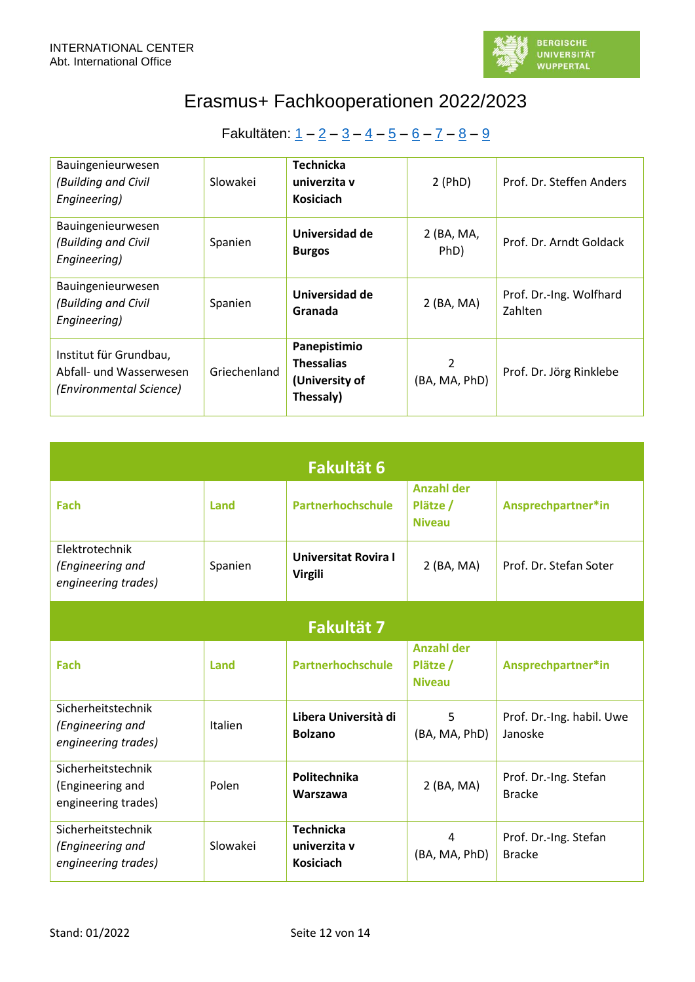

| Bauingenieurwesen<br>(Building and Civil<br>Engineering)                     | Slowakei     | <b>Technicka</b><br>univerzita v<br><b>Kosiciach</b>             | $2$ (PhD)          | Prof. Dr. Steffen Anders           |
|------------------------------------------------------------------------------|--------------|------------------------------------------------------------------|--------------------|------------------------------------|
| Bauingenieurwesen<br>(Building and Civil<br>Engineering)                     | Spanien      | Universidad de<br><b>Burgos</b>                                  | 2 (BA, MA,<br>PhD) | Prof. Dr. Arndt Goldack            |
| Bauingenieurwesen<br>(Building and Civil<br>Engineering)                     | Spanien      | Universidad de<br>Granada                                        | $2$ (BA, MA)       | Prof. Dr.-Ing. Wolfhard<br>Zahlten |
| Institut für Grundbau,<br>Abfall- und Wasserwesen<br>(Environmental Science) | Griechenland | Panepistimio<br><b>Thessalias</b><br>(University of<br>Thessaly) | 2<br>(BA, MA, PhD) | Prof. Dr. Jörg Rinklebe            |

<span id="page-11-1"></span><span id="page-11-0"></span>

| <b>Fakultät 6</b>                                             |                |                                                      |                                                |                                        |  |  |  |
|---------------------------------------------------------------|----------------|------------------------------------------------------|------------------------------------------------|----------------------------------------|--|--|--|
| Fach                                                          | Land           | Partnerhochschule                                    | <b>Anzahl der</b><br>Plätze /<br><b>Niveau</b> | Ansprechpartner*in                     |  |  |  |
| Elektrotechnik<br>(Engineering and<br>engineering trades)     | Spanien        | <b>Universitat Rovira I</b><br><b>Virgili</b>        | 2 (BA, MA)                                     | Prof. Dr. Stefan Soter                 |  |  |  |
| <b>Fakultät 7</b>                                             |                |                                                      |                                                |                                        |  |  |  |
| Fach                                                          | Land           | Partnerhochschule                                    | <b>Anzahl der</b><br>Plätze /<br><b>Niveau</b> | Ansprechpartner*in                     |  |  |  |
| Sicherheitstechnik<br>(Engineering and<br>engineering trades) | <b>Italien</b> | Libera Università di<br><b>Bolzano</b>               | 5<br>(BA, MA, PhD)                             | Prof. Dr.-Ing. habil. Uwe<br>Janoske   |  |  |  |
| Sicherheitstechnik<br>(Engineering and<br>engineering trades) | Polen          | Politechnika<br>Warszawa                             | 2 (BA, MA)                                     | Prof. Dr.-Ing. Stefan<br><b>Bracke</b> |  |  |  |
| Sicherheitstechnik<br>(Engineering and<br>engineering trades) | Slowakei       | <b>Technicka</b><br>univerzita v<br><b>Kosiciach</b> | 4<br>(BA, MA, PhD)                             | Prof. Dr.-Ing. Stefan<br><b>Bracke</b> |  |  |  |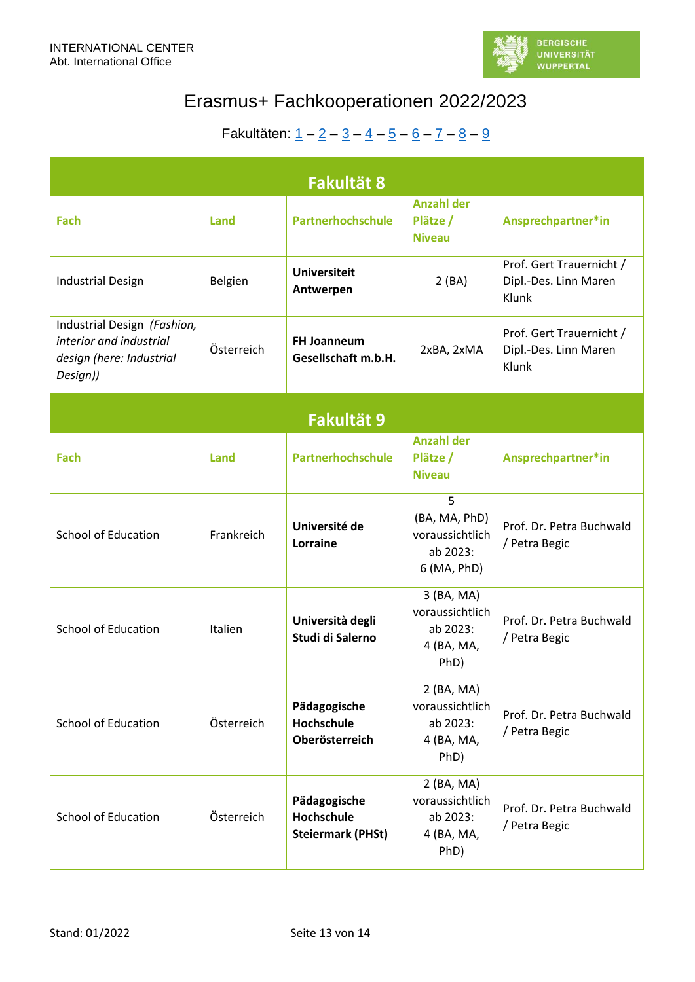

<span id="page-12-1"></span><span id="page-12-0"></span>

| <b>Fakultät 8</b>                                                                              |                |                                                        |                                                                  |                                                            |  |  |  |
|------------------------------------------------------------------------------------------------|----------------|--------------------------------------------------------|------------------------------------------------------------------|------------------------------------------------------------|--|--|--|
| Fach                                                                                           | Land           | Partnerhochschule                                      | <b>Anzahl der</b><br>Plätze /<br><b>Niveau</b>                   | Ansprechpartner*in                                         |  |  |  |
| <b>Industrial Design</b>                                                                       | Belgien        | <b>Universiteit</b><br>Antwerpen                       | 2(BA)                                                            | Prof. Gert Trauernicht /<br>Dipl.-Des. Linn Maren<br>Klunk |  |  |  |
| Industrial Design (Fashion,<br>interior and industrial<br>design (here: Industrial<br>Design)) | Österreich     | <b>FH Joanneum</b><br>Gesellschaft m.b.H.              | 2xBA, 2xMA                                                       | Prof. Gert Trauernicht /<br>Dipl.-Des. Linn Maren<br>Klunk |  |  |  |
| Fakultät 9                                                                                     |                |                                                        |                                                                  |                                                            |  |  |  |
| Fach                                                                                           | Land           | Partnerhochschule                                      | <b>Anzahl der</b><br>Plätze /<br><b>Niveau</b>                   | Ansprechpartner*in                                         |  |  |  |
| <b>School of Education</b>                                                                     | Frankreich     | Université de<br>Lorraine                              | 5<br>(BA, MA, PhD)<br>voraussichtlich<br>ab 2023:<br>6 (MA, PhD) | Prof. Dr. Petra Buchwald<br>/ Petra Begic                  |  |  |  |
| <b>School of Education</b>                                                                     | <b>Italien</b> | Università degli<br>Studi di Salerno                   | 3 (BA, MA)<br>voraussichtlich<br>ab 2023:<br>4 (BA, MA,<br>PhD)  | Prof. Dr. Petra Buchwald<br>/ Petra Begic                  |  |  |  |
| <b>School of Education</b>                                                                     | Österreich     | Pädagogische<br>Hochschule<br>Oberösterreich           | 2 (BA, MA)<br>voraussichtlich<br>ab 2023:<br>4 (BA, MA,<br>PhD)  | Prof. Dr. Petra Buchwald<br>/ Petra Begic                  |  |  |  |
| <b>School of Education</b>                                                                     | Österreich     | Pädagogische<br>Hochschule<br><b>Steiermark (PHSt)</b> | 2 (BA, MA)<br>voraussichtlich<br>ab 2023:<br>4 (BA, MA,<br>PhD)  | Prof. Dr. Petra Buchwald<br>/ Petra Begic                  |  |  |  |